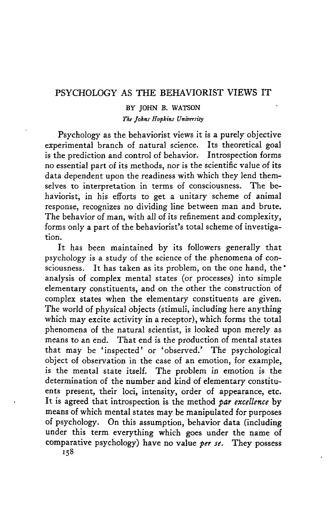## PSYCHOLOGY AS THE BEHAVIORIST VIEWS IT

## BY JOHN B. WATSON *The Johns Hopkins University*

Psychology as the behaviorist views it is a purely objective experimental branch of natural science. Its theoretical goal is the prediction and control of behavior. Introspection forms no essential part of its methods, nor is the scientific value of its data dependent upon the readiness with which they lend themselves to interpretation in terms of consciousness. The behaviorist, in his efforts to get a unitary scheme of animal response, recognizes no dividing line between man and brute. The behavior of man, with all of its refinement and complexity, forms only a part of the behaviorist's total scheme of investigation.

It has been maintained by its followers generally that psychology is a study of the science of the phenomena of consciousness. It has taken as its problem, on the one hand, the' analysis of complex mental states (or processes) into simple elementary constituents, and on the other the construction of complex states when the elementary constituents are given. The world of physical objects (stimuli, including here anything which may excite activity in a receptor), which forms the total phenomena of the natural scientist, is looked upon merely as means to an end. That end is the production of mental states that may be 'inspected' or 'observed.' The psychological object of observation in the case of an emotion, for example, is the mental state itself. The problem in emotion is the determination of the number and kind of elementary constituents present, their loci, intensity, order of appearance, etc. It is agreed that introspection is the method *par excellence by* means of which mental states may be manipulated for purposes of psychology. On this assumption, behavior data (including under this term everything which goes under the name of comparative psychology) have no value *per se.* They possess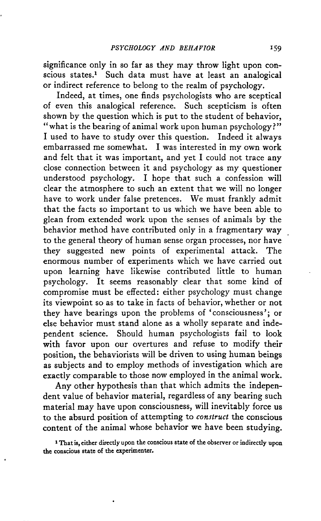significance only in so far as they may throw light upon conscious states.<sup>1</sup> Such data must have at least an analogical or indirect reference to belong to the realm of psychology.

Indeed, at times, one finds psychologists who are sceptical of even this analogical reference. Such scepticism is often shown by the question which is put to the student of behavior, "what is the bearing of animal work upon human psychology?" I used to have to study over this question. Indeed it always embarrassed me somewhat. I was interested in my own work and felt that it was important, and yet I could not trace any close connection between it and psychology as my questioner understood psychology. I hope that such a confession will clear the atmosphere to such an extent that we will no longer have to work under false pretences. We must frankly admit that the facts so important to us which we have been able to glean from extended work upon the senses of animals by the behavior method have contributed only in a fragmentary way to the general theory of human sense organ processes, nor have they suggested new points of experimental attack. The enormous number of experiments which we have carried out upon learning have likewise contributed little to human psychology. It seems reasonably clear that some kind of compromise must be effected: either psychology must change its viewpoint so as to take in facts of behavior, whether or not they have bearings upon the problems of 'consciousness'; or else behavior must stand alone as a wholly separate and independent science. Should human psychologists fail to look with favor upon our overtures and refuse to modify their position, the behaviorists will be driven to using human beings as subjects and to employ methods of investigation which are exactly comparable to those now employed in the animal work.

Any other hypothesis than that which admits the independent value of behavior material, regardless of any bearing such material may have upon consciousness, will inevitably force us to the absurd position of attempting to *construct* the conscious content of the animal whose behavior we have been studying.

<sup>1</sup> That is, either directly upon the conscious state of the observer or indirectly upon the conscious state of the experimenter.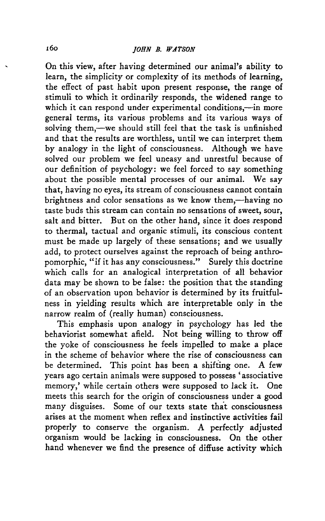On this view, after having determined our animal's ability to learn, the simplicity or complexity of its methods of learning, the effect of past habit upon present response, the range of stimuli to which it ordinarily responds, the widened range to which it can respond under experimental conditions,—in more general terms, its various problems and its various ways of solving them,—we should still feel that the task is unfinished and that the results are worthless, until we can interpret them by analogy in the light of consciousness. Although we have solved our problem we feel uneasy and unrestful because of our definition of psychology: we feel forced to say something about the possible mental processes of our animal. We say that, having no eyes, its stream of consciousness cannot contain brightness and color sensations as we know them,—having no taste buds this stream can contain no sensations of sweet, sour, salt and bitter. But on the other hand, since it does respond to thermal, tactual and organic stimuli, its conscious content must be made up largely of these sensations; and we usually add, to protect ourselves against the reproach of being anthropomorphic, "if it has any consciousness." Surely this doctrine which calls for an analogical interpretation of all behavior data may be shown to be false: the position that the standing of an observation upon behavior is determined by its fruitfulness in yielding results which are interpretable only in the narrow realm of (really human) consciousness.

This emphasis upon analogy in psychology has led the behaviorist somewhat afield. Not being willing to throw off the yoke of consciousness he feels impelled to make a place in the scheme of behavior where the rise of consciousness can be determined. This point has been a shifting one. A few years ago certain animals were supposed to possess ' associative memory,' while certain others were supposed to lack it. One meets this search for the origin of consciousness under a good many disguises. Some of our texts state that consciousness arises at the moment when reflex and instinctive activities fail properly to conserve the organism. A perfectly adjusted organism would be lacking in consciousness. On the other hand whenever we find the presence of diffuse activity which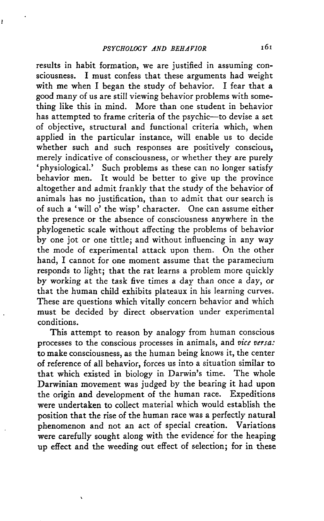results in habit formation, we are justified in assuming consciousness. I must confess that these arguments had weight with me when I began the study of behavior. I fear that a good many of us are still viewing behavior problems with something like this in mind. More than one student in behavior has attempted to frame criteria of the psychic—to devise a set of objective, structural and functional criteria which, when applied in the particular instance, will enable us to decide whether such and such responses are positively conscious, merely indicative of consciousness, or whether they are purely 'physiological.' Such problems as these can no longer satisfy behavior men. It would be better to give up the province altogether and admit frankly that the study of the behavior of animals has no justification, than to admit that our search is of such a 'will o' the wisp' character. One can assume either the presence or the absence of consciousness anywhere in the phylogenetic scale without affecting the problems of behavior by one jot or one tittle; and without influencing in any way the mode of experimental attack upon them. On the other hand, I cannot for one moment assume that the paramecium responds to light; that the rat learns a problem more quickly by working at the task five times a day than once a day, or that the human child exhibits plateaux in his learning curves. These are questions which vitally concern behavior and which must be decided by direct observation under experimental conditions.

This attempt to reason by analogy from human conscious processes to the conscious processes in animals, and *vice versa:* to make consciousness, as the human being knows it, the center of reference of all behavior, forces us into a situation similar to that which existed in biology in Darwin's time. The whole Darwinian movement was judged by the bearing it had upon the origin and development of the human race. Expeditions were undertaken to collect material which would establish the position that the rise of the human race was a perfectly natural phenomenon and not an act of special creation. Variations were carefully sought along with the evidence for the heaping up effect and the weeding out effect of selection; for in these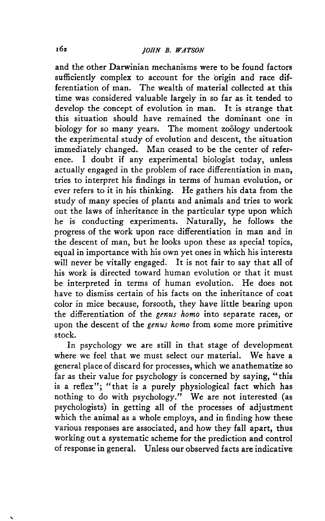and the other Darwinian mechanisms were to be found factors sufficiently complex to account for the origin and race differentiation of man. The wealth of material collected at this time was considered valuable largely in so far as it tended to develop the concept of evolution in man. It is strange that this situation should have remained the dominant one in biology for so many years. The moment zoölogy undertook the experimental study of evolution and descent, the situation immediately changed. Man ceased to be the center of reference. I doubt if any experimental biologist today, unless actually engaged in the problem of race differentiation in man, tries to interpret his findings in terms of human evolution, or ever refers to it in his thinking. He gathers his data from the study of many species of plants and animals and tries to work out the laws of inheritance in the particular type upon which he is conducting experiments. Naturally, he follows the progress of the work upon race differentiation in man and in the descent of man, but he looks upon these as special topics, equal in importance with his own yet ones in which his interests will never be vitally engaged. It is not fair to say that all of his work is directed toward human evolution or that it must be interpreted in terms of human evolution. He does not have to dismiss certain of his facts on the inheritance of coat color in mice because, forsooth, they have little bearing upon the differentiation of the *genus homo* into separate races, or upon the descent of the *genus homo* from some more primitive stock.

In psychology we are still in that stage of development where we feel that we must select our material. We have a general place of discard for processes, which we anathematize so far as their value for psychology is concerned by saying, " this is a reflex"; "that is a purely physiological fact which has nothing to do with psychology." We are not interested (as psychologists) in getting all of the processes of adjustment which the animal as a whole employs, and in finding how these various responses are associated, and how they fall apart, thus working out a systematic scheme for the prediction and control of response in general. Unless our observed facts are indicative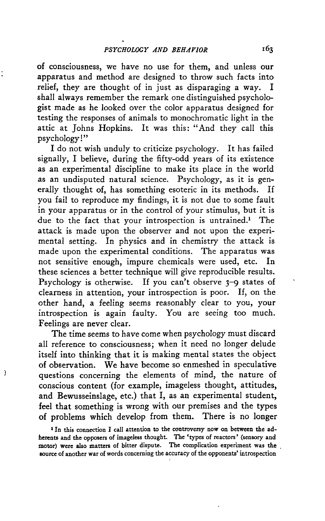of consciousness, we have no use for them, and unless our apparatus and method are designed to throw such facts into relief, they are thought of in just as disparaging a way. shall always remember the remark one distinguished psychologist made as he looked over the color apparatus designed for testing the responses of animals to monochromatic light in the attic at Johns Hopkins. It was this: "And they call this psychology!"

I do not wish unduly to criticize psychology. It has failed signally, I believe, during the fifty-odd years of its existence as an experimental discipline to make its place in the world as an undisputed natural science. Psychology, as it is generally thought of, has something esoteric in its methods. If you fail to reproduce my findings, it is not due to some fault in your apparatus or in the control of your stimulus, but it is due to the fact that your introspection is untrained.<sup>1</sup> The attack is made upon the observer and not upon the experimental setting. In physics and in chemistry the attack is made upon the experimental conditions. The apparatus was not sensitive enough, impure chemicals were used, etc. In these sciences a better technique will give reproducible results. Psychology is otherwise. If you can't observe 3-9 states of clearness in attention, your introspection is poor. If, on the other hand, a feeling seems reasonably clear to you, your introspection is again faulty. You are seeing too much. Feelings are never clear.

The time seems to have come when psychology must discard all reference to consciousness; when it need no longer delude itself into thinking that it is making mental states the object of observation. We have become so enmeshed in speculative questions concerning the elements of mind, the nature of conscious content (for example, imageless thought, attitudes, and Bewusseinslage, etc.) that I, as an experimental student, feel that something is wrong with our premises and the types of problems which develop from them. There is no longer

Y

<sup>1</sup> In this connection I call attention to the controversy now on between the adherents and the opposers of imageless thought. The 'types of reactors' (sensory and motor) were also matters of bitter dispute. The complication experiment was the source of another war of words concerning the accuracy of the opponents' introspection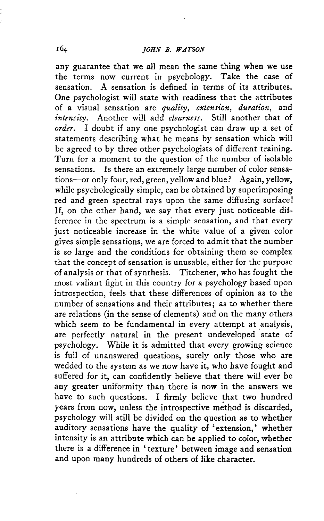any guarantee that we all mean the same thing when we use the terms now current in psychology. Take the case of sensation. A sensation is defined in terms of its attributes. One psychologist will state with readiness that the attributes of a visual sensation are *quality, extension, duration,* and *intensity.* Another will add *clearness.* Still another that of *order.* I doubt if any one psychologist can draw up a set of statements describing what he means by sensation which will be agreed to by three other psychologists of different training. Turn for a moment to the question of the number of isolable sensations. Is there an extremely large number of color sensations—or only four, red, green, yellow and blue ? Again, yellow, while psychologically simple, can be obtained by superimposing red and green spectral rays upon the same diffusing surface! If, on the other hand, we say that every just noticeable difference in the spectrum is a simple sensation, and that every just noticeable increase in the white value of a given color gives simple sensations, we are forced to admit that the number is so large and the conditions for obtaining them so complex that the concept of sensation is unusable, either for the purpose of analysis or that of synthesis. Titchener, who has fought the most valiant fight in this country for a psychology based upon introspection, feels that these differences of opinion as to the number of sensations and their attributes; as to whether there are relations (in the sense of elements) and on the many others which seem to be fundamental in every attempt at analysis, are perfectly natural in the present undeveloped state of psychology. While it is admitted that every growing science is full of unanswered questions, surely only those who are wedded to the system as we now have it, who have fought and suffered for it, can confidently believe that there will ever be any greater uniformity than there is now in the answers we have to such questions. I firmly believe that two hundred years from now, unless the introspective method is discarded, psychology will still be divided on the question as to whether auditory sensations have the quality of 'extension,' whether intensity is an attribute which can be applied to color, whether there is a difference in 'texture' between image and sensation and upon many hundreds of others of like character.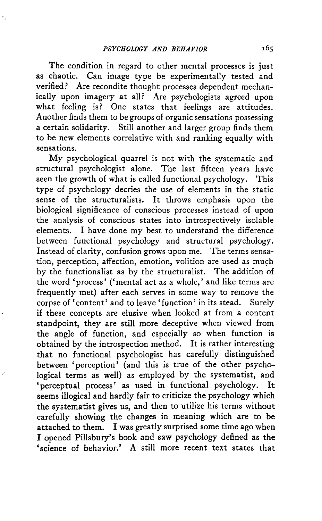The condition in regard to other mental processes is just as chaotic. Can image type be experimentally tested and verified? Are recondite thought processes dependent mechanically upon imagery at all? Are psychologists agreed upon what feeling is? One states that feelings are attitudes. Another finds them to be groups of organic sensations possessing a certain solidarity. Still another and larger group finds them to be new elements correlative with and ranking equally with sensations.

My psychological quarrel is not with the systematic and structural psychologist alone. The last fifteen years have seen the growth of what is called functional psychology. This type of psychology decries the use of elements in the static sense of the structuralists. It throws emphasis upon the biological significance of conscious processes instead of upon the analysis of conscious states into introspectively isolable elements. I have done my best to understand the difference between functional psychology and structural psychology. Instead of clarity, confusion grows upon me. The terms sensation, perception, affection, emotion, volition are used as much by the functionalist as by the structuralist. The addition of the word 'process' ('mental act as a whole,' and like terms are frequently met) after each serves in some way to remove the corpse of 'content' and to leave 'function' in its stead. Surely if these concepts are elusive when looked at from a content standpoint, they are still more deceptive when viewed from the angle of function, and especially so when function is obtained by the introspection method. It is rather interesting that no functional psychologist has carefully distinguished between 'perception' (and this is true of the other psychological terms as well) as employed by the systematist, and 'perceptual process' as used in functional psychology. It seems illogical and hardly fair to criticize the psychology which the systematist gives us, and then to utilize his terms without carefully showing the changes in meaning which are to be attached to them. I was greatly surprised some time ago when I opened Pillsbury's book and saw psychology defined as the 'science of behavior.' A still more recent text states that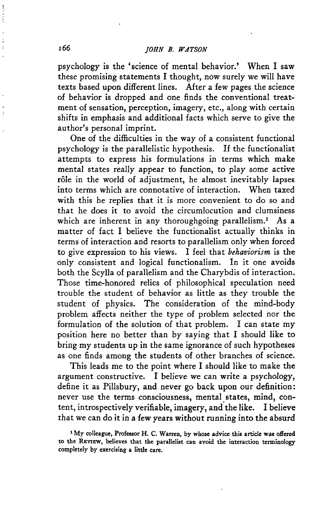psychology is the 'science of mental behavior.' When I saw these promising statements I thought, now surely we will have texts based upon different lines. After a few pages the science of behavior is dropped and one finds the conventional treatment of sensation, perception, imagery, etc., along with certain shifts in emphasis and additional facts which serve to give the author's personal imprint.

One of the difficulties in the way of a consistent functional psychology is the parallelistic hypothesis. If the functionalist attempts to express his formulations in terms which make mental states really appear to function, to play some active rôle in the world of adjustment, he almost inevitably lapses into terms which are connotative of interaction. When taxed with this he replies that it is more convenient to do so and that he does it to avoid the circumlocution and clumsiness which are inherent in any thoroughgoing parallelism.<sup>1</sup> As a matter of fact I believe the functionalist actually thinks in terms of interaction and resorts to parallelism only when forced to give expression to his views. I feel that *behaviorism* is the only consistent and logical functionalism. In it one avoids both the Scylla of parallelism and the Charybdis of interaction. Those time-honored relics of philosophical speculation need trouble the student of behavior as little as they trouble the student of physics. The consideration of the mind-body problem affects neither the type of problem selected nor the formulation of the solution of that problem. I can state my position here no better than by saying that I should like to bring my students up in the same ignorance of such hypotheses as one finds among the students of other branches of science.

This leads me to the point where I should like to make the argument constructive. I believe we can write a psychology, define it as Pillsbury, and never go back upon our definition: never use the terms consciousness, mental states, mind, content, introspectively verifiable, imagery, and the like. I believe that we can do it in a few years without running into the absurd

 $\ddot{\cdot}$ þ

Ņ

<sup>&</sup>lt;sup>1</sup> My colleague, Professor H. C. Warren, by whose advice this article was offered to the REVIEW, believes that the parallelist can avoid the interaction terminology completely by exercising a little care.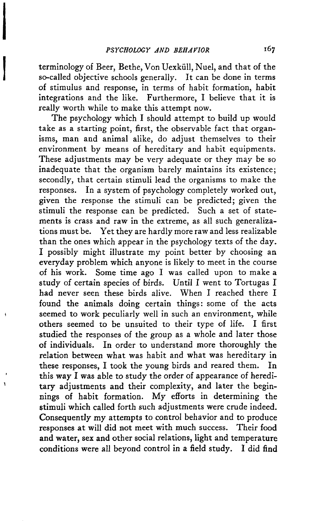terminology of Beer, Bethe, Von Uexkiill, Nuel, and that of the so-called objective schools generally. It can be done in terms of stimulus and response, in terms of habit formation, habit integrations and the like. Furthermore, I believe that it is really worth while to make this attempt now.

The psychology which I should attempt to build up would take as a starting point, first, the observable fact that organisms, man and animal alike, do adjust themselves to their environment by means of hereditary and habit equipments. These adjustments may be very adequate or they may be so inadequate that the organism barely maintains its existence; secondly, that certain stimuli lead the organisms to make the responses. In a system of psychology completely worked out, given the response the stimuli can be predicted; given the stimuli the response can be predicted. Such a set of statements is crass and raw in the extreme, as all such generalizations must be. Yet they are hardly more raw and less realizable than the ones which appear in the psychology texts of the day. I possibly might illustrate my point better by choosing an everyday problem which anyone is likely to meet in the course of his work. Some time ago I was called upon to make a study of certain species of birds. Until I went to Tortugas I had never seen these birds alive. When I reached there I found the animals doing certain things: some of the acts seemed to work peculiarly well in such an environment, while others seemed to be unsuited to their type of life. I first studied the responses of the group as a whole and later those of individuals. In order to understand more thoroughly the relation between what was habit and what was hereditary in these responses, I took the young birds and reared them. In this way I was able to study the order of appearance of hereditary adjustments and their complexity, and later the beginnings of habit formation. My efforts in determining the stimuli which called forth such adjustments were crude indeed. Consequently my attempts to control behavior and to produce responses at will did not meet with much success. Their food and water, sex and other social relations, light and temperature conditions were all beyond control in a field study. I did find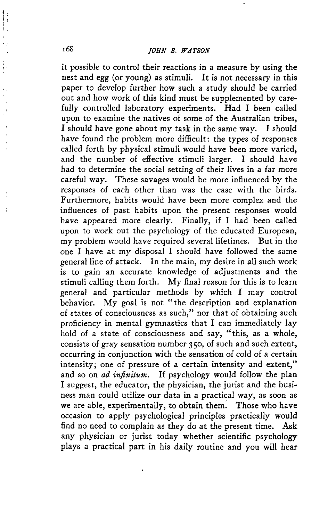it possible to control their reactions in a measure by using the nest and egg (or young) as stimuli. It is not necessary in this paper to develop further how such a study should be carried out and how work of this kind must be supplemented by carefully controlled laboratory experiments. Had I been called upon to examine the natives of some of the Australian tribes, I should have gone about my task in the same way. I should have found the problem more difficult: the types of responses called forth by physical stimuli would have been more varied, and the number of effective stimuli larger. I should have had to determine the social setting of their lives in a far more careful way. These savages would be more influenced by the responses of each other than was the case with the birds. Furthermore, habits would have been more complex and the influences of past habits upon the present responses would have appeared more clearly. Finally, if I had been called upon to work out the psychology of the educated European, my problem would have required several lifetimes. But in the one I have at my disposal I should have followed the same general line of attack. In the main, my desire in all such work is to gain an accurate knowledge of adjustments and the stimuli calling them forth. My final reason for this is to learn general and particular methods by which I may control behavior. My goal is not "the description and explanation of states of consciousness as such," nor that of obtaining such proficiency in mental gymnastics that I can immediately lay hold of a state of consciousness and say, "this, as a whole, consists of gray sensation number 350, of such and such extent, occurring in conjunction with the sensation of cold of a certain intensity; one of pressure of a certain intensity and extent," and so on *ad infinitum.* If psychology would follow the plan I suggest, the educator, the physician, the jurist and the business man could utilize our data in a practical way, as soon as we are able, experimentally, to obtain them. Those who have occasion to apply psychological principles practically would find no need to complain as they do at the present time. Ask any physician or jurist today whether scientific psychology plays a practical part in his daily routine and you will hear

 $\frac{1}{2}$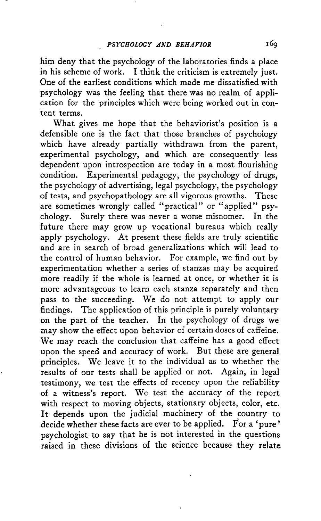him deny that the psychology of the laboratories finds a place in his scheme of work. I think the criticism is extremely just. One of the earliest conditions which made me dissatisfied with psychology was the feeling that there was no realm of application for the principles which were being worked out in content terms.

What gives me hope that the behaviorist's position is a defensible one is the fact that those branches of psychology which have already partially withdrawn from the parent, experimental psychology, and which are consequently less dependent upon introspection are today in a most flourishing condition. Experimental pedagogy, the psychology of drugs, the psychology of advertising, legal psychology, the psychology of tests, and psychopathology are all vigorous growths. These are sometimes wrongly called "practical" or "applied" psychology. Surely there was never a worse misnomer. In the future there may grow up vocational bureaus which really apply psychology. At present these fields are truly scientific and are in search of broad generalizations which will lead to the control of human behavior. For example, we find out by experimentation whether a series of stanzas may be acquired more readily if the whole is learned at once, or whether it is more advantageous to learn each stanza separately and then pass to the succeeding. We do not attempt to apply our findings. The application of this principle is purely voluntary on the part of the teacher. In the psychology of drugs we may show the effect upon behavior of certain doses of caffeine. We may reach the conclusion that caffeine has a good effect upon the speed and accuracy of work. But these are general principles. We leave it to the individual as to whether the results of our tests shall be applied or not. Again, in legal testimony, we test the effects of recency upon the reliability of a witness's report. We test the accuracy of the report with respect to moving objects, stationary objects, color, etc. It depends upon the judicial machinery of the country to decide whether these facts are ever to be applied. For a 'pure' psychologist to say that he is not interested in the questions raised in these divisions of the science because they relate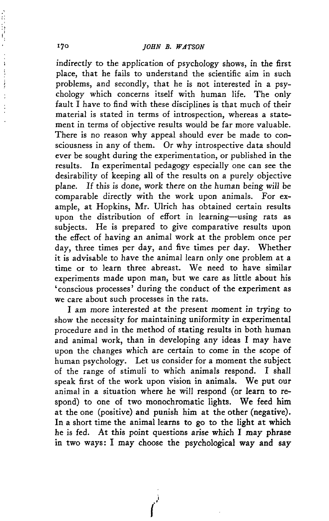indirectly to the application of psychology shows, in the first place, that he fails to understand the scientific aim in such problems, and secondly, that he is not interested in a psychology which concerns itself with human life. The only fault I have to find with these disciplines is that much of their material is stated in terms of introspection, whereas a statement in terms of objective results would be far more valuable. There is no reason why appeal should ever be made to consciousness in any of them. Or why introspective data should ever be sought during the experimentation, or published in the results. In experimental pedagogy especially one can see the desirability of keeping all of the results on a purely objective plane. If this is done, work there on the human being will be comparable directly with the work upon animals. For example, at Hopkins, Mr. Ulrich has obtained certain results upon the distribution of effort in learning—using rats as subjects. He is prepared to give comparative results upon the effect of having an animal work at the problem once per day, three times per day, and five times per day. Whether it is advisable to have the animal learn only one problem at a time or to learn three abreast. We need to have similar experiments made upon man, but we care as little about his 'conscious processes' during the conduct of the experiment as we care about such processes in the rats.

I am more interested at the present moment in trying to show the necessity for maintaining uniformity in experimental procedure and in the method of stating results in both human and animal work, than in developing any ideas I may have upon the changes which are certain to come in the scope of human psychology. Let us consider for a moment the subject of the range of stimuli to which animals respond. I shall speak first of the work upon vision in animals. We put our animal in a situation where he will respond (or learn to respond) to one of two monochromatic lights. We feed him at the one (positive) and punish him at the other (negative). In a short time the animal learns to go to the light at which he is fed. At this point questions arise which I may phrase in two ways: I may choose the psychological way and say

 $\ddot{\phantom{a}}$  $\ddot{\cdot}$  $\ddot{\phantom{0}}$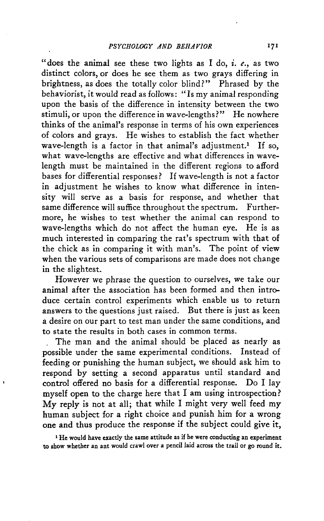"does the animal see these two lights as I do, *i. e.,* as two distinct colors, or does he see them as two grays differing in brightness, as does the totally color blind?" Phrased by the behaviorist, it would read as follows: " Is my animal responding upon the basis of the difference in intensity between the two stimuli, or upon the difference in wave-lengths?" He nowhere thinks of the animal's response in terms of his own experiences of colors and grays. He wishes to establish the fact whether wave-length is a factor in that animal's adjustment.<sup>1</sup> If so, what wave-lengths are effective and what differences in wavelength must be maintained in the different regions to afford bases for differential responses ? If wave-length is not a factor in adjustment he wishes to know what difference in intensity will serve as a basis for response, and whether that same difference will suffice throughout the spectrum. Furthermore, he wishes to test whether the animal can respond to wave-lengths which do not affect the human eye. He is as much interested in comparing the rat's spectrum with that of the chick as in comparing it with man's. The point of view when the various sets of comparisons are made does not change in the slightest.

However we phrase the question to ourselves, we take our animal after the association has been formed and then introduce certain control experiments which enable us to return answers to the questions just raised. But there is just as keen a desire on our part to test man under the same conditions, and to state the results in both cases in common terms.

The man and the animal should be placed as nearly as possible under the same experimental conditions. Instead of feeding or punishing the human subject, we should ask him to respond by setting a second apparatus until standard and control offered no basis for a differential response. Do I lay myself open to the charge here that I am using introspection ? My reply is not at all; that while I might very well feed my human subject for a right choice and punish him for a wrong one and thus produce the response if the subject could give it,

<sup>1</sup> He would have exactly the same attitude as if he were conducting an experiment to show whether an ant would crawl over a pencil laid across the trail or go round it.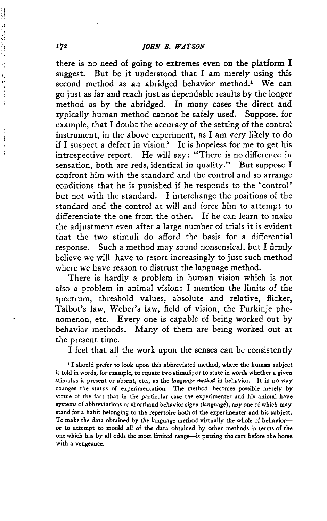there is no need of going to extremes even on the **platform I** suggest. But be it understood that I am merely using this second method as an abridged behavior method.<sup>1</sup> We can go just as far and reach just as dependable results by the longer method as by the abridged. In many cases the direct and typically human method cannot be safely used. Suppose, for example, that I doubt the accuracy of the setting of the control instrument, in the above experiment, as I am very likely to do if I suspect a defect in vision? It is hopeless for me to get his introspective report. He will say: "There is no difference in sensation, both are reds, identical in quality." But suppose I confront him with the standard and the control and so arrange conditions that he is punished if he responds to the 'control' but not with the standard. I interchange the positions of the standard and the control at will and force him to attempt to differentiate the one from the other. If he can learn to make the adjustment even after a large number of trials it is evident that the two stimuli do afford the basis for a differential response. Such a method may sound nonsensical, but I firmly believe we will have to resort increasingly to just such method where we have reason to distrust the language method.

There is hardly a problem in human vision which is not also a problem in animal vision: I mention the limits of the spectrum, threshold values, absolute and relative, flicker, Talbot's law, Weber's law, field of vision, the Purkinje phenomenon, etc. Every one is capable of being worked out by behavior methods. Many of them are being worked out at the present time.

I feel that all the work upon the senses can be consistently

<sup>1</sup> I should prefer to look upon this abbreviated method, where the human subject is told in words, for example, to equate two stimuli; or to state in words whether a given stimulus is present or absent, etc., as the *language method* in behavior. It in no way changes the status of experimentation. The method becomes possible merely by virtue of the fact that in the particular case the experimenter and his animal have systems of abbreviations or shorthand behavior signs (language), any one of which may stand for a habit belonging to the repertoire both of the experimenter and his subject. To make the data obtained by the language method virtually the whole of behavior or to attempt to mould all of the data obtained by other methods in terms of the one which has by all odds the most limited range—is putting the cart before the horse with a vengeance.

 $\ddot{\phantom{0}}$  $\ddot{\cdot}$  $\bar{z}$ 

ţ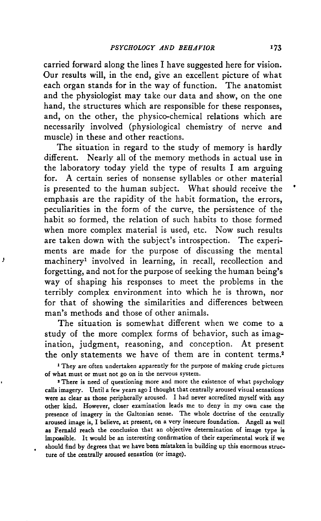carried forward along the lines I have suggested here for vision. Our results will, in the end, give an excellent picture of what each organ stands for in the way of function. The anatomist and the physiologist may take our data and show, on the one hand, the structures which are responsible for these responses, and, on the other, the physico-chemical relations which are necessarily involved (physiological chemistry of nerve and muscle) in these and other reactions.

The situation in regard to the study of memory is hardly different. Nearly all of the memory methods in actual use in the laboratory today yield the type of results I am arguing for. A certain series of nonsense syllables or other material is presented to the human subject. What should receive the emphasis are the rapidity of the habit formation, the errors, peculiarities in the form of the curve, the persistence of the habit so formed, the relation of such habits to those formed when more complex material is used, etc. Now such results are taken down with the subject's introspection. The experiments are made for the purpose of discussing the mental machinery<sup>1</sup> involved in learning, in recall, recollection and forgetting, and not for the purpose of seeking the human being's way of shaping his responses to meet the problems in the terribly complex environment into which he is thrown, nor for that of showing the similarities and differences between man's methods and those of other animals.

Ź

The situation is somewhat different when we come to a study of the more complex forms of behavior, such as imagination, judgment, reasoning, and conception. At present the only statements we have of them are in content terms.<sup>2</sup>

<sup>1</sup> They are often undertaken apparently for the purpose of making crude pictures of what must or must not go on in the nervous system.

<sup>2</sup> There is need of questioning more and more the existence of what psychology calls imagery. Until a few years ago I thought that centrally aroused visual sensations were as clear as those peripherally aroused. I had never accredited myself with any other kind. However, closer examination leads me to deny in my own case the presence of imagery in the Galtonian sense. The whole doctrine of the centrally aroused image is, I believe, at present, on a very insecure foundation. Angell as well as Fernald reach the conclusion that an objective determination of image type is impossible. It would be an interesting confirmation of their experimental work if we should find by degrees that we have been mistaken in building up this enormous structure of the centrally aroused sensation (or image).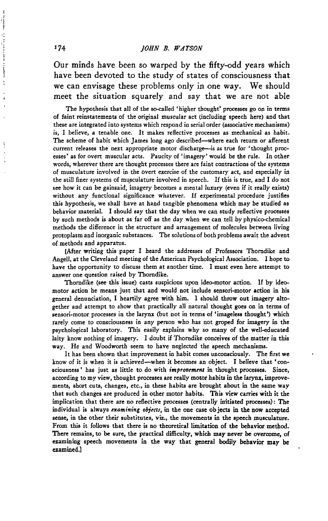Our minds have been so warped by the fifty-odd years which have been devoted to the study of states of consciousness that we can envisage these problems only in one way. We should meet the situation squarely and say that we are not able

The hypothesis that all of the so-called 'higher thought' processes go on in terms of faint reinstatements of the original muscular act (including speech here) and that these are integrated into systems which respond in serial order (associative mechanisms) is, I believe, a tenable one. It makes reflective processes as mechanical as habit. The scheme of habit which James long ago described—where each return or afferent current releases the next appropriate motor discharge—is as true for 'thought processes' as for overt muscular acts. Paucity of 'imagery' would be the rule. In other words, wherever there are thought processes there are faint contractions of the systems of musculature involved in the overt exercise of the customary act, and especially in the still finer systems of musculature involved in speech. If this is true, and I do not see how it can be gainsaid, imagery becomes a mental luxury (even if it really exists) without any functional significance whatever. If experimental procedure justifies this hypothesis, we shall have at hand tangible phenomena which may be studied as behavior material. I should say that the day when we can study reflective processes by such methods is about as far off as the day when we can tell by physico-chemical methods the difference in the structure and arrangement of molecules between living protoplasm and inorganic substances. The solutions of both problems await the advent of methods and apparatus.

[After writing this paper I heard the addresses of Professors Thomdike and Angell, at the Cleveland meeting of the American Psychological Association. I hope to have the opportunity to discuss them at another time. I must even here attempt to answer one question raised by Thomdike.

Thomdike (see this issue) casts suspicions upon ideo-motor action. If by ideomotor action he means just that and would not include sensori-motor action in his general denunciation, I heartily agree with him. I should throw out imagery altogether and attempt to show that practically all natural thought goes on in terms of sensori-motor processes in the larynx (but not in terms of 'imageless thought') which rarely come to consciousness in any person who has not groped for imagery in the psychological laboratory. This easily explains why so many of the well-educated laity know nothing of imagery. I doubt if Thorndike conceives of the matter in this way. He and Woodworth seem to have neglected the speech mechanisms.

It has been shown that improvement in habit comes unconsciously. The first we know of it is when it is achieved—when it becomes an object. I believe that 'consciousness ' has just as little to do with *improvement* in thought processes. Since, according to my view, thought processes are really motor habits in the larynx, improvements, short cuts, changes, etc., in these habits are brought about in the same way that such changes are produced in other motor habits. This view carries with it the implication that there are no reflective processes (centrally initiated processes): The individual is always *examining objects,* in the one case objects in the now accepted sense, in the other their substitutes, viz., the movements in the speech musculature. From this it follows that there is no theoretical limitation of the behavior method. There remains, to be sure, the practical difficulty, which may never be overcome, of examining speech movements in the way that general bodily behavior may be examined.]

 $\ddot{\cdot}$ j,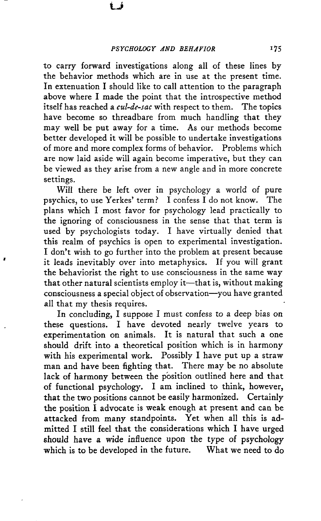## PSYCHOLOGY AND BEHAVIOR<sub>175</sub>

to carry forward investigations along all of these lines by the behavior methods which are in use at the present time. In extenuation I should like to call attention to the paragraph above where I made the point that the introspective method itself has reached a *cul-de-sac* with respect to them. The topics have become so threadbare from much handling that they may well be put away for a time. As our methods become better developed it will be possible to undertake investigations of more and more complex forms of behavior. Problems which are now laid aside will again become imperative, but they can be viewed as they arise from a new angle and in more concrete settings.

Will there be left over in psychology a world of pure<br>chics, to use Yerkes' term? I confess I do not know. The psychics, to use Yerkes' term? I confess  $\overrightarrow{I}$  do not know. plans which I most favor for psychology lead practically to the ignoring of consciousness in the sense that that term is used by psychologists today. I have virtually denied that this realm of psychics is open to experimental investigation. I don't wish to go further into the problem at present because it leads inevitably over into metaphysics. If you will grant the behaviorist the right to use consciousness in the same way that other natural scientists employ it—that is, without making consciousness a special object of observation—you have granted all that my thesis requires.

In concluding, I suppose I must confess to a deep bias on these questions. I have devoted nearly twelve years to experimentation on animals. It is natural that such a one should drift into a theoretical position which is in harmony with his experimental work. Possibly I have put up a straw man and have been fighting that. There may be no absolute lack of harmony between the position outlined here and that of functional psychology. I am inclined to think, however, that the two positions cannot be easily harmonized. Certainly the position I advocate is weak enough at present and can be attacked from many standpoints. Yet when all this is admitted I still feel that the considerations which I have urged should have a wide influence upon the type of psychology which is to be developed in the future. What we need to do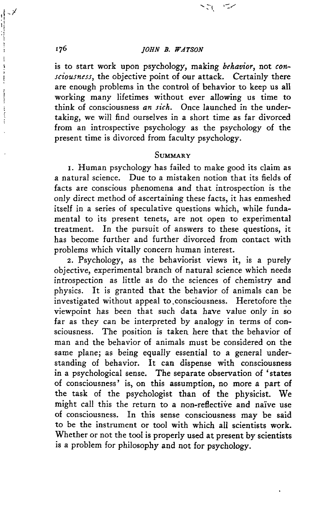سريسي

 $\sqrt{2}$ 

is to start work upon psychology, making *behavior,* not *consciousness,* the objective point of our attack. Certainly there are enough problems in the control of behavior to keep us all working many lifetimes without ever allowing us time to think of consciousness *an sich.* Once launched in the undertaking, we will find ourselves in a short time as far divorced from an introspective psychology as the psychology of the present time is divorced from faculty psychology.

## **SUMMARY**

1. Human psychology has failed to make good its claim as a natural science. Due to a mistaken notion that its fields of facts are conscious phenomena and that introspection is the only direct method of ascertaining these facts, it has enmeshed itself in a series of speculative questions which, while fundamental to its present tenets, are not open to experimental treatment. In the pursuit of answers to these questions, it has become further and further divorced from contact with problems which vitally concern human interest.

2. Psychology, as the behaviorist views it, is a purely objective, experimental branch of natural science which needs introspection as little as do the sciences of chemistry and physics. It is granted that the behavior of animals can be investigated without appeal to.consciousness. Heretofore the viewpoint has been that such data have value only in so far as they can be interpreted by analogy in terms of consciousness. The position is taken here that the behavior of man and the behavior of animals must be considered on the same plane; as being equally essential to a general understanding of behavior. It can dispense with consciousness in a psychological sense. The separate observation of 'states of consciousness' is, on this assumption, no more a part of the task of the psychologist than of the physicist. We might call this the return to a non-reflective and naive use of consciousness. In this sense consciousness may be said to be the instrument or tool with which all scientists work. Whether or not the tool is properly used at present by scientists is a problem for philosophy and not for psychology.

**Selection of the Content of** 

 $\label{eq:2.1} \begin{array}{lllllllllllll} \mathbf{1}_{\mathbf{1}_{\mathbf{1}_{\mathbf{1}_{\mathbf{1}}}}\mathbf{1}_{\mathbf{1}_{\mathbf{1}_{\mathbf{1}}}}\mathbf{1}_{\mathbf{1}_{\mathbf{1}_{\mathbf{1}}}}\mathbf{1}_{\mathbf{1}_{\mathbf{1}}\mathbf{1}_{\mathbf{1}}\mathbf{1}_{\mathbf{1}}\mathbf{1}_{\mathbf{1}}\mathbf{1}_{\mathbf{1}}\mathbf{1}_{\mathbf{1}}\mathbf{1}_{\mathbf{1}}\mathbf{1}_{\mathbf{1}}\mathbf{1}_{\mathbf{1}}\mathbf$